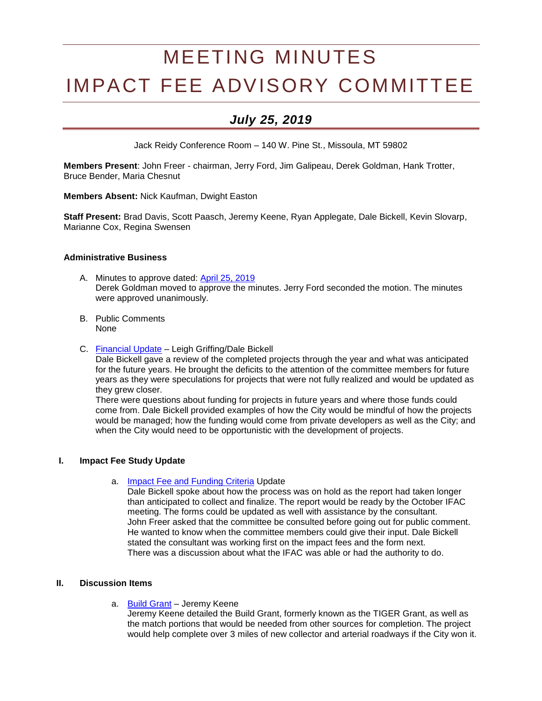# MEETING MINUTES IMPACT FEE ADVISORY COMMITTEE

# *July 25, 2019*

Jack Reidy Conference Room – 140 W. Pine St., Missoula, MT 59802

**Members Present**: John Freer - chairman, Jerry Ford, Jim Galipeau, Derek Goldman, Hank Trotter, Bruce Bender, Maria Chesnut

**Members Absent:** Nick Kaufman, Dwight Easton

**Staff Present:** Brad Davis, Scott Paasch, Jeremy Keene, Ryan Applegate, Dale Bickell, Kevin Slovarp, Marianne Cox, Regina Swensen

#### **Administrative Business**

- A. Minutes to approve dated: [April 25, 2019](http://ci.missoula.mt.us/Archive.aspx?ADID=14137) Derek Goldman moved to approve the minutes. Jerry Ford seconded the motion. The minutes were approved unanimously.
- B. Public Comments None
- C. [Financial Update](https://www.ci.missoula.mt.us/DocumentCenter/View/50238/IFAC-Financials-07-25-2019) Leigh Griffing/Dale Bickell

Dale Bickell gave a review of the completed projects through the year and what was anticipated for the future years. He brought the deficits to the attention of the committee members for future years as they were speculations for projects that were not fully realized and would be updated as they grew closer.

There were questions about funding for projects in future years and where those funds could come from. Dale Bickell provided examples of how the City would be mindful of how the projects would be managed; how the funding would come from private developers as well as the City; and when the City would need to be opportunistic with the development of projects.

#### **I. Impact Fee Study Update**

a. [Impact Fee and Funding Criteria](https://www.ci.missoula.mt.us/DocumentCenter/View/40315) Update

Dale Bickell spoke about how the process was on hold as the report had taken longer than anticipated to collect and finalize. The report would be ready by the October IFAC meeting. The forms could be updated as well with assistance by the consultant. John Freer asked that the committee be consulted before going out for public comment. He wanted to know when the committee members could give their input. Dale Bickell stated the consultant was working first on the impact fees and the form next. There was a discussion about what the IFAC was able or had the authority to do.

#### **II. Discussion Items**

a. [Build Grant](https://www.ci.missoula.mt.us/DocumentCenter/View/50158/BUILD-Grant-Summary---2019) - Jeremy Keene

Jeremy Keene detailed the Build Grant, formerly known as the TIGER Grant, as well as the match portions that would be needed from other sources for completion. The project would help complete over 3 miles of new collector and arterial roadways if the City won it.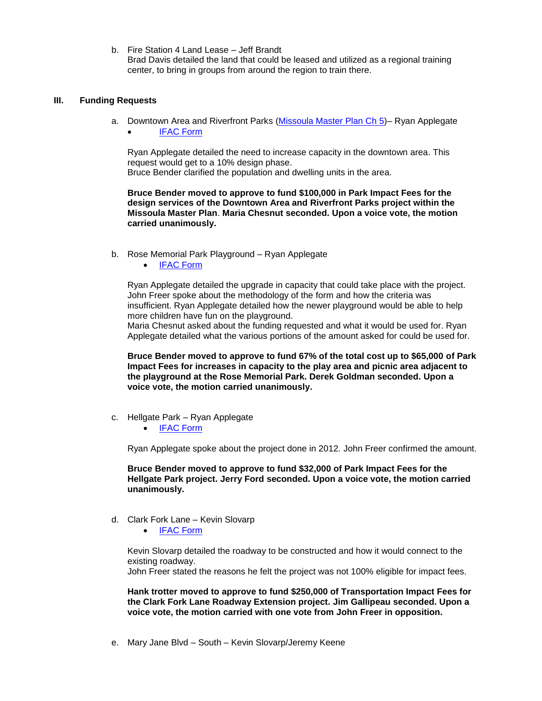b. Fire Station 4 Land Lease – Jeff Brandt Brad Davis detailed the land that could be leased and utilized as a regional training center, to bring in groups from around the region to train there.

#### **III. Funding Requests**

a. Downtown Area and Riverfront Parks [\(Missoula Master Plan Ch 5\)](https://www.ci.missoula.mt.us/DocumentCenter/View/50057/Missoula-Master-Plan_Ch5_070419)– Ryan Applegate [IFAC Form](https://www.ci.missoula.mt.us/DocumentCenter/View/50058/Downtown-application-Impact-Fee--Application)

Ryan Applegate detailed the need to increase capacity in the downtown area. This request would get to a 10% design phase.

Bruce Bender clarified the population and dwelling units in the area.

**Bruce Bender moved to approve to fund \$100,000 in Park Impact Fees for the design services of the Downtown Area and Riverfront Parks project within the Missoula Master Plan**. **Maria Chesnut seconded. Upon a voice vote, the motion carried unanimously.**

- b. Rose Memorial Park Playground Ryan Applegate
	- [IFAC Form](https://www.ci.missoula.mt.us/DocumentCenter/View/50059/Rose-Memorial-PG-impact-fee-application)

Ryan Applegate detailed the upgrade in capacity that could take place with the project. John Freer spoke about the methodology of the form and how the criteria was insufficient. Ryan Applegate detailed how the newer playground would be able to help more children have fun on the playground.

Maria Chesnut asked about the funding requested and what it would be used for. Ryan Applegate detailed what the various portions of the amount asked for could be used for.

**Bruce Bender moved to approve to fund 67% of the total cost up to \$65,000 of Park Impact Fees for increases in capacity to the play area and picnic area adjacent to the playground at the Rose Memorial Park. Derek Goldman seconded. Upon a voice vote, the motion carried unanimously.**

- c. Hellgate Park Ryan Applegate
	- [IFAC Form](https://www.ci.missoula.mt.us/DocumentCenter/View/50237/Hellgate-Park-Impact-fee--Application)

Ryan Applegate spoke about the project done in 2012. John Freer confirmed the amount.

**Bruce Bender moved to approve to fund \$32,000 of Park Impact Fees for the Hellgate Park project. Jerry Ford seconded. Upon a voice vote, the motion carried unanimously.**

- d. Clark Fork Lane Kevin Slovarp
	- [IFAC Form](https://www.ci.missoula.mt.us/DocumentCenter/View/50192/Clark-Fork-Lane-Roadway-Extension-Impact-Fee-application)

Kevin Slovarp detailed the roadway to be constructed and how it would connect to the existing roadway.

John Freer stated the reasons he felt the project was not 100% eligible for impact fees.

**Hank trotter moved to approve to fund \$250,000 of Transportation Impact Fees for the Clark Fork Lane Roadway Extension project. Jim Gallipeau seconded. Upon a voice vote, the motion carried with one vote from John Freer in opposition.**

e. Mary Jane Blvd – South – Kevin Slovarp/Jeremy Keene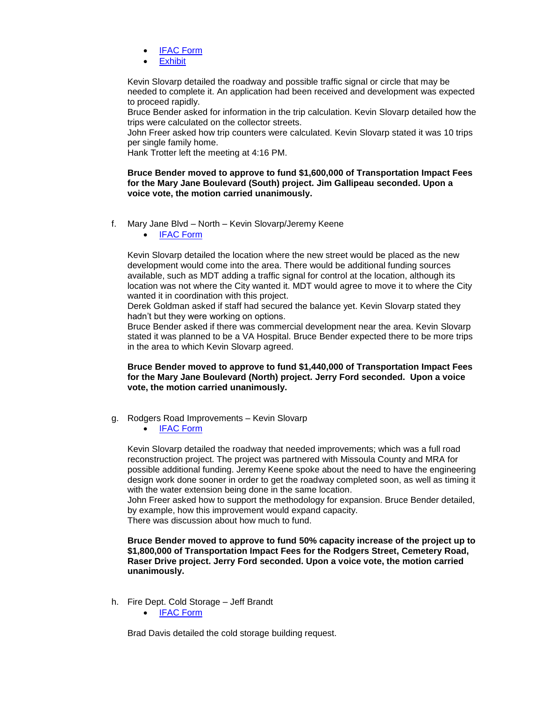- [IFAC Form](https://www.ci.missoula.mt.us/DocumentCenter/View/50234/Mary-Jane-Blvd---South-existing-to-Mullan-Impact-Fee-Application)
- **[Exhibit](https://www.ci.missoula.mt.us/DocumentCenter/View/50159/Mary-Jane-Exhibit)**

Kevin Slovarp detailed the roadway and possible traffic signal or circle that may be needed to complete it. An application had been received and development was expected to proceed rapidly.

Bruce Bender asked for information in the trip calculation. Kevin Slovarp detailed how the trips were calculated on the collector streets.

John Freer asked how trip counters were calculated. Kevin Slovarp stated it was 10 trips per single family home.

Hank Trotter left the meeting at 4:16 PM.

**Bruce Bender moved to approve to fund \$1,600,000 of Transportation Impact Fees for the Mary Jane Boulevard (South) project. Jim Gallipeau seconded. Upon a voice vote, the motion carried unanimously.**

- f. Mary Jane Blvd North Kevin Slovarp/Jeremy Keene
	- [IFAC Form](https://www.ci.missoula.mt.us/DocumentCenter/View/50233/Mary-Jane-Blvd---North-W-Broadway-to-Camden-Impact-Fee-Application)

Kevin Slovarp detailed the location where the new street would be placed as the new development would come into the area. There would be additional funding sources available, such as MDT adding a traffic signal for control at the location, although its location was not where the City wanted it. MDT would agree to move it to where the City wanted it in coordination with this project.

Derek Goldman asked if staff had secured the balance yet. Kevin Slovarp stated they hadn't but they were working on options.

Bruce Bender asked if there was commercial development near the area. Kevin Slovarp stated it was planned to be a VA Hospital. Bruce Bender expected there to be more trips in the area to which Kevin Slovarp agreed.

**Bruce Bender moved to approve to fund \$1,440,000 of Transportation Impact Fees for the Mary Jane Boulevard (North) project. Jerry Ford seconded. Upon a voice vote, the motion carried unanimously.**

- g. Rodgers Road Improvements Kevin Slovarp
	- [IFAC Form](https://www.ci.missoula.mt.us/DocumentCenter/View/50235/Rodgers-Cemetery-Raser-Roadway-Impact-Fee-Application)

Kevin Slovarp detailed the roadway that needed improvements; which was a full road reconstruction project. The project was partnered with Missoula County and MRA for possible additional funding. Jeremy Keene spoke about the need to have the engineering design work done sooner in order to get the roadway completed soon, as well as timing it with the water extension being done in the same location.

John Freer asked how to support the methodology for expansion. Bruce Bender detailed, by example, how this improvement would expand capacity.

There was discussion about how much to fund.

**Bruce Bender moved to approve to fund 50% capacity increase of the project up to \$1,800,000 of Transportation Impact Fees for the Rodgers Street, Cemetery Road, Raser Drive project. Jerry Ford seconded. Upon a voice vote, the motion carried unanimously.**

- h. Fire Dept. Cold Storage Jeff Brandt
	- [IFAC Form](https://www.ci.missoula.mt.us/DocumentCenter/View/50236/Cold-Storage-Funding-Criteria-Impact-Fee-request-2019)

Brad Davis detailed the cold storage building request.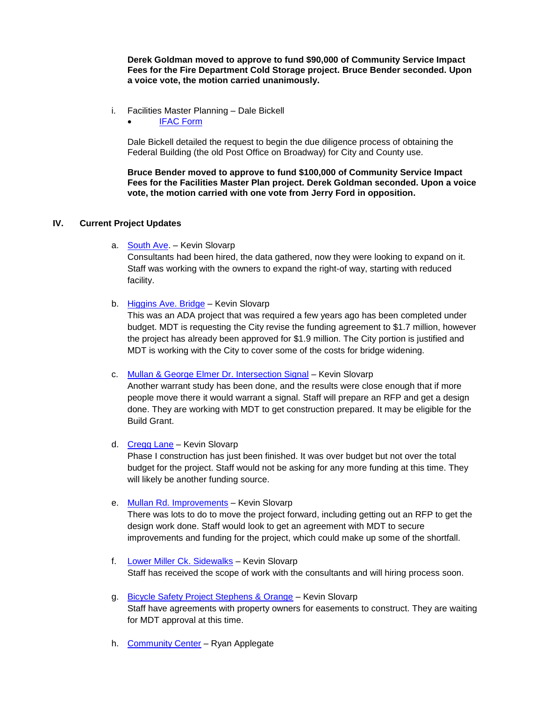**Derek Goldman moved to approve to fund \$90,000 of Community Service Impact Fees for the Fire Department Cold Storage project. Bruce Bender seconded. Upon a voice vote, the motion carried unanimously.**

- i. Facilities Master Planning Dale Bickell
	- [IFAC Form](https://www.ci.missoula.mt.us/DocumentCenter/View/50185/Facilities-Master-Planning-Impact-Fee-Application)

Dale Bickell detailed the request to begin the due diligence process of obtaining the Federal Building (the old Post Office on Broadway) for City and County use.

**Bruce Bender moved to approve to fund \$100,000 of Community Service Impact Fees for the Facilities Master Plan project. Derek Goldman seconded. Upon a voice vote, the motion carried with one vote from Jerry Ford in opposition.**

# **IV. Current Project Updates**

a. [South Ave.](https://www.ci.missoula.mt.us/DocumentCenter/View/39239) – Kevin Slovarp

Consultants had been hired, the data gathered, now they were looking to expand on it. Staff was working with the owners to expand the right-of way, starting with reduced facility.

b. [Higgins Ave. Bridge](https://www.ci.missoula.mt.us/DocumentCenter/View/46583/DS---Higgins-Street-Bridge-Improvements) – Kevin Slovarp

This was an ADA project that was required a few years ago has been completed under budget. MDT is requesting the City revise the funding agreement to \$1.7 million, however the project has already been approved for \$1.9 million. The City portion is justified and MDT is working with the City to cover some of the costs for bridge widening.

c. [Mullan & George Elmer Dr. Intersection Signal](https://www.ci.missoula.mt.us/DocumentCenter/View/39234) – Kevin Slovarp

Another warrant study has been done, and the results were close enough that if more people move there it would warrant a signal. Staff will prepare an RFP and get a design done. They are working with MDT to get construction prepared. It may be eligible for the Build Grant.

d. [Cregg Lane](https://www.ci.missoula.mt.us/DocumentCenter/View/41366) – Kevin Slovarp

Phase I construction has just been finished. It was over budget but not over the total budget for the project. Staff would not be asking for any more funding at this time. They will likely be another funding source.

## e. [Mullan Rd. Improvements](https://www.ci.missoula.mt.us/DocumentCenter/View/46585/DS---Mullan-Rd-Reconstruction) – Kevin Slovarp

There was lots to do to move the project forward, including getting out an RFP to get the design work done. Staff would look to get an agreement with MDT to secure improvements and funding for the project, which could make up some of the shortfall.

- f. [Lower Miller Ck. Sidewalks](https://www.ci.missoula.mt.us/DocumentCenter/View/46584/DS---Lower-Miller-Creek-Road-LVB-to-Bigfork) Kevin Slovarp Staff has received the scope of work with the consultants and will hiring process soon.
- g. [Bicycle Safety Project Stephens & Orange](https://www.ci.missoula.mt.us/DocumentCenter/View/49308/Bicycle-Safety-Project---Stephens-Orange) Kevin Slovarp Staff have agreements with property owners for easements to construct. They are waiting for MDT approval at this time.
- h. [Community Center](https://www.ci.missoula.mt.us/DocumentCenter/View/33701) Ryan Applegate